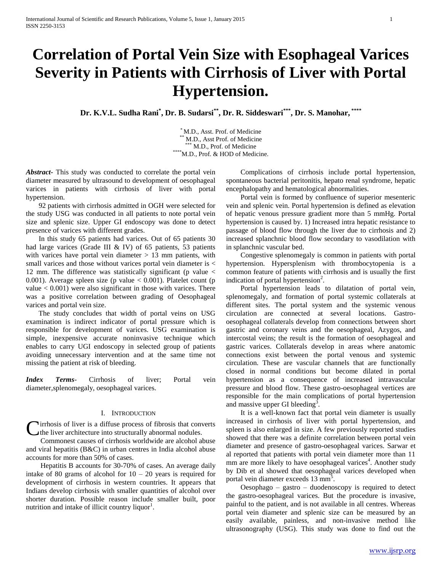# **Correlation of Portal Vein Size with Esophageal Varices Severity in Patients with Cirrhosis of Liver with Portal Hypertension.**

**Dr. K.V.L. Sudha Rani\* , Dr. B. Sudarsi\*\* , Dr. R. Siddeswari\*\*\* , Dr. S. Manohar, \*\*\*\***

\* M.D., Asst. Prof. of Medicine M.D., Asst Prof. of Medicine \*\*\* M.D., Prof. of Medicine \*\*\*\*M.D., Prof. & HOD of Medicine.

*Abstract***-** This study was conducted to correlate the portal vein diameter measured by ultrasound to development of oesophageal varices in patients with cirrhosis of liver with portal hypertension.

 92 patients with cirrhosis admitted in OGH were selected for the study USG was conducted in all patients to note portal vein size and splenic size. Upper GI endoscopy was done to detect presence of varices with different grades.

 In this study 65 patients had varices. Out of 65 patients 30 had large varices (Grade III & IV) of 65 patients, 53 patients with varices have portal vein diameter  $> 13$  mm patients, with small varices and those without varices portal vein diameter is  $\lt$ 12 mm. The difference was statistically significant (p value  $\lt$ 0.001). Average spleen size (p value  $< 0.001$ ). Platelet count (p value  $< 0.001$ ) were also significant in those with varices. There was a positive correlation between grading of Oesophageal varices and portal vein size.

 The study concludes that width of portal veins on USG examination is indirect indicator of portal pressure which is responsible for development of varices. USG examination is simple, inexpensive accurate noninvasive technique which enables to carry UGI endoscopy in selected group of patients avoiding unnecessary intervention and at the same time not missing the patient at risk of bleeding.

*Index Terms-* Cirrhosis of liver: Portal vein diameter,splenomegaly, oesophageal varices.

## I. INTRODUCTION

Cirrhosis of liver is a diffuse process of fibrosis that converts<br>the liver architecture into structurally abnormal nodules. the liver architecture into structurally abnormal nodules.

 Commonest causes of cirrhosis worldwide are alcohol abuse and viral hepatitis (B&C) in urban centres in India alcohol abuse accounts for more than 50% of cases.

 Hepatitis B accounts for 30-70% of cases. An average daily intake of 80 grams of alcohol for  $10 - 20$  years is required for development of cirrhosis in western countries. It appears that Indians develop cirrhosis with smaller quantities of alcohol over shorter duration. Possible reason include smaller built, poor nutrition and intake of illicit country liquor<sup>1</sup>.

 Complications of cirrhosis include portal hypertension, spontaneous bacterial peritonitis, hepato renal syndrome, hepatic encephalopathy and hematological abnormalities.

 Portal vein is formed by confluence of superior mesenteric vein and splenic vein. Portal hypertension is defined as elevation of hepatic venous pressure gradient more than 5 mmHg. Portal hypertension is caused by. 1) Increased intra hepatic resistance to passage of blood flow through the liver due to cirrhosis and 2) increased splanchnic blood flow secondary to vasodilation with in splanchnic vascular bed.

 Congestive splenomegaly is common in patients with portal hypertension. Hypersplenism with thrombocytopenia is a common feature of patients with cirrhosis and is usually the first indication of portal hypertension<sup>2</sup>.

 Portal hypertension leads to dilatation of portal vein, splenomegaly, and formation of portal systemic collaterals at different sites. The portal system and the systemic venous circulation are connected at several locations. Gastrooesophageal collaterals develop from connections between short gastric and coronary veins and the oesophageal, Azygos, and intercostal veins; the result is the formation of oesophageal and gastric varices. Collaterals develop in areas where anatomic connections exist between the portal venous and systemic circulation. These are vascular channels that are functionally closed in normal conditions but become dilated in portal hypertension as a consequence of increased intravascular pressure and blood flow. These gastro-oesophageal vertices are responsible for the main complications of portal hypertension and massive upper GI bleeding<sup>3</sup>.

 It is a well-known fact that portal vein diameter is usually increased in cirrhosis of liver with portal hypertension, and spleen is also enlarged in size. A few previously reported studies showed that there was a definite correlation between portal vein diameter and presence of gastro-oesophageal varices. Sarwar et al reported that patients with portal vein diameter more than 11 mm are more likely to have oesophageal varices<sup>4</sup>. Another study by Dib et al showed that oesophageal varices developed when portal vein diameter exceeds 13 mm<sup>5</sup>.

 Oesophago – gastro – duodenoscopy is required to detect the gastro-oesophageal varices. But the procedure is invasive, painful to the patient, and is not available in all centres. Whereas portal vein diameter and splenic size can be measured by an easily available, painless, and non-invasive method like ultrasonography (USG). This study was done to find out the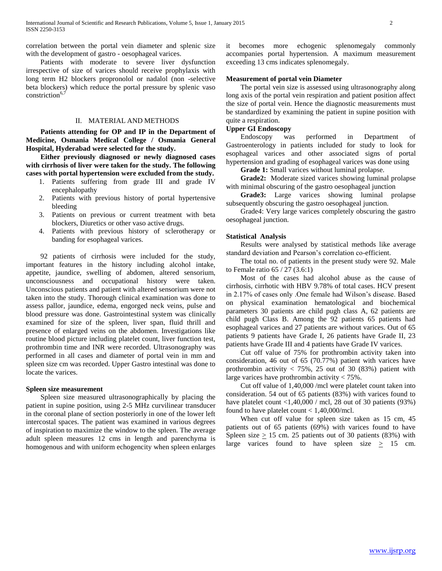correlation between the portal vein diameter and splenic size with the development of gastro - oesophageal varices.

 Patients with moderate to severe liver dysfunction irrespective of size of varices should receive prophylaxis with long term H2 blockers propronolol or nadalol (non -selective beta blockers) which reduce the portal pressure by splenic vaso constriction $6,7$ 

# II. MATERIAL AND METHODS

 **Patients attending for OP and IP in the Department of Medicine, Osmania Medical College / Osmania General Hospital, Hyderabad were selected for the study.** 

 **Either previously diagnosed or newly diagnosed cases with cirrhosis of liver were taken for the study. The following cases with portal hypertension were excluded from the study.** 

- 1. Patients suffering from grade III and grade IV encephalopathy
- 2. Patients with previous history of portal hypertensive bleeding
- 3. Patients on previous or current treatment with beta blockers, Diuretics or other vaso active drugs.
- 4. Patients with previous history of sclerotherapy or banding for esophageal varices.

 92 patients of cirrhosis were included for the study, important features in the history including alcohol intake, appetite, jaundice, swelling of abdomen, altered sensorium, unconsciousness and occupational history were taken. Unconscious patients and patient with altered sensorium were not taken into the study. Thorough clinical examination was done to assess pallor, jaundice, edema, engorged neck veins, pulse and blood pressure was done. Gastrointestinal system was clinically examined for size of the spleen, liver span, fluid thrill and presence of enlarged veins on the abdomen. Investigations like routine blood picture including platelet count, liver function test, prothrombin time and INR were recorded. Ultrasonography was performed in all cases and diameter of portal vein in mm and spleen size cm was recorded. Upper Gastro intestinal was done to locate the varices.

#### **Spleen size measurement**

 Spleen size measured ultrasonographically by placing the patient in supine position, using 2-5 MHz curvilinear transducer in the coronal plane of section posteriorly in one of the lower left intercostal spaces. The patient was examined in various degrees of inspiration to maximize the window to the spleen. The average adult spleen measures 12 cms in length and parenchyma is homogenous and with uniform echogencity when spleen enlarges

it becomes more echogenic splenomegaly commonly accompanies portal hypertension. A maximum measurement exceeding 13 cms indicates splenomegaly.

# **Measurement of portal vein Diameter**

 The portal vein size is assessed using ultrasonography along long axis of the portal vein respiration and patient position affect the size of portal vein. Hence the diagnostic measurements must be standardized by examining the patient in supine position with quite a respiration.

#### **Upper GI Endoscopy**

 Endoscopy was performed in Department of Gastroenterology in patients included for study to look for esophageal varices and other associated signs of portal hypertension and grading of esophageal varices was done using

**Grade 1:** Small varices without luminal prolapse.

 **Grade2:** Moderate sized varices showing luminal prolapse with minimal obscuring of the gastro oesophageal junction

 **Grade3:** Large varices showing luminal prolapse subsequently obscuring the gastro oesophageal junction.

 Grade4: Very large varices completely obscuring the gastro oesophageal junction.

#### **Statistical Analysis**

 Results were analysed by statistical methods like average standard deviation and Pearson's correlation co-efficient.

 The total no. of patients in the present study were 92. Male to Female ratio 65 / 27 (3.6:1)

 Most of the cases had alcohol abuse as the cause of cirrhosis, cirrhotic with HBV 9.78% of total cases. HCV present in 2.17% of cases only .One female had Wilson's disease. Based on physical examination hematological and biochemical parameters 30 patients are child pugh class A, 62 patients are child pugh Class B. Among the 92 patients 65 patients had esophageal varices and 27 patients are without varices. Out of 65 patients 9 patients have Grade I, 26 patients have Grade II, 23 patients have Grade III and 4 patients have Grade IV varices.

 Cut off value of 75% for prothrombin activity taken into consideration, 46 out of 65 (70.77%) patient with varices have prothrombin activity  $<$  75%, 25 out of 30 (83%) patient with large varices have prothrombin activity < 75%.

 Cut off value of 1,40,000 /mcl were platelet count taken into consideration. 54 out of 65 patients (83%) with varices found to have platelet count <1,40,000 / mcl, 28 out of 30 patients (93%) found to have platelet count  $< 1,40,000$ /mcl.

 When cut off value for spleen size taken as 15 cm, 45 patients out of 65 patients (69%) with varices found to have Spleen size  $> 15$  cm. 25 patients out of 30 patients (83%) with large varices found to have spleen size  $\geq$  15 cm.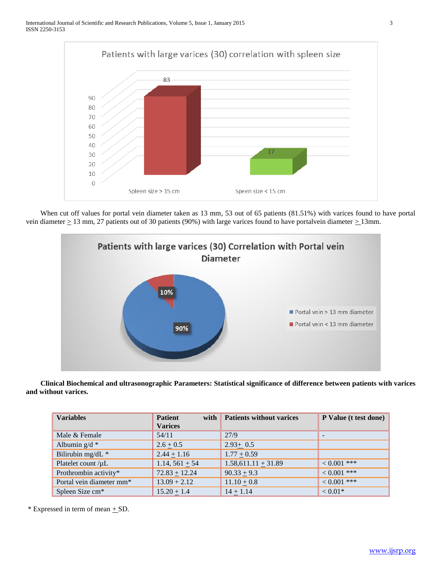

 When cut off values for portal vein diameter taken as 13 mm, 53 out of 65 patients (81.51%) with varices found to have portal vein diameter  $\geq$  13 mm, 27 patients out of 30 patients (90%) with large varices found to have portalvein diameter  $\geq$  13mm.



 **Clinical Biochemical and ultrasonographic Parameters: Statistical significance of difference between patients with varices and without varices.**

| <b>Variables</b>                     | <b>Patient</b><br>with<br><b>Varices</b> | <b>Patients without varices</b> | P Value (t test done) |
|--------------------------------------|------------------------------------------|---------------------------------|-----------------------|
| Male & Female                        | 54/11                                    | 27/9                            |                       |
| Albumin $g/d$ *                      | $2.6 \pm 0.5$                            | $2.93 \pm 0.5$                  |                       |
| Bilirubin mg/dL *                    | $2.44 \pm 1.16$                          | $1.77 + 0.59$                   |                       |
| Platelet count /µL                   | 1.14, $561 \pm 54$                       | $1.58,611.11 \pm 31.89$         | $0.001$ ***           |
| Prothrombin activity*                | $72.83 + 12.24$                          | $90.33 + 9.3$                   | $0.001$ ***           |
| Portal vein diameter mm <sup>*</sup> | $13.09 + 2.12$                           | $11.10 + 0.8$                   | $\leq 0.001$ ***      |
| Spleen Size cm*                      | $15.20 + 1.4$                            | $14 + 1.14$                     | $< 0.01*$             |

 $*$  Expressed in term of mean  $+$  SD.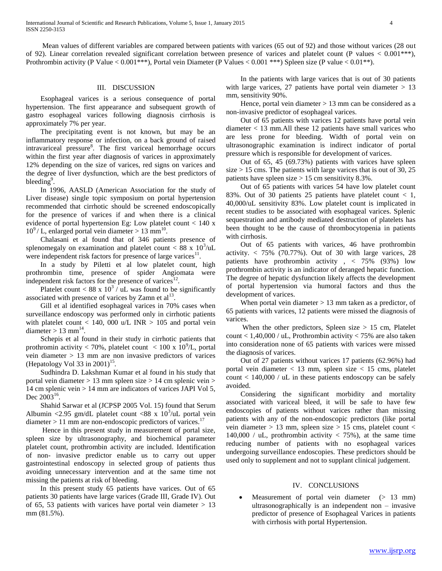Mean values of different variables are compared between patients with varices (65 out of 92) and those without varices (28 out of 92). Linear correlation revealed significant correlation between presence of varices and platelet count (P values < 0.001\*\*\*), Prothrombin activity (P Value < 0.001\*\*\*), Portal vein Diameter (P Values < 0.001 \*\*\*) Spleen size (P value < 0.01\*\*).

## III. DISCUSSION

 Esophageal varices is a serious consequence of portal hypertension. The first appearance and subsequent growth of gastro esophageal varices following diagnosis cirrhosis is approximately 7% per year.

 The precipitating event is not known, but may be an inflammatory response or infection, on a back ground of raised intravariceal pressure<sup>8</sup>. The first variceal hemorrhage occurs within the first year after diagnosis of varices in approximately 12% depending on the size of varices, red signs on varices and the degree of liver dysfunction, which are the best predictors of bleeding<sup>9</sup>.

 In 1996, AASLD (American Association for the study of Liver disease) single topic symposium on portal hypertension recommended that cirrhotic should be screened endoscopically for the presence of varices if and when there is a clinical evidence of portal hypertension Eg: Low platelet count < 140 x  $10^9$  / L, enlarged portal vein diameter > 13 mm<sup>10</sup>.

 Chalasani et al found that of 346 patients presence of splenomegaly on examination and platelet count  $<$  88 x 10<sup>3</sup>/uL were independent risk factors for presence of large varices $11$ .

 In a study by Piletti et al low platelet count, high prothrombin time, presence of spider Angiomata were independent risk factors for the presence of varices $12$ .

Platelet count < 88 x  $10^3$  / uL was found to be significantly associated with presence of varices by Zamn et  $al<sup>13</sup>$ .

 Gill et al identified esophageal varices in 70% cases when surveillance endoscopy was performed only in cirrhotic patients with platelet count  $< 140$ , 000 u/L INR  $> 105$  and portal vein diameter  $> 13$  mm<sup>14</sup>.

 Schepis et al found in their study in cirrhotic patients that prothromin activity < 70%, platelet count  $\langle 100 \times 10^{9} \rangle L$ , portal vein diameter > 13 mm are non invasive predictors of varices (Hepatology Vol 33 in 2001)<sup>15</sup>.

 Sudhindra D. Lakshman Kumar et al found in his study that portal vein diameter > 13 mm spleen size > 14 cm splenic vein > 14 cm splenic vein > 14 mm are indicators of varices JAPI Vol 5, Dec  $2003^{16}$ .

 Shahid Sarwar et al (JCPSP 2005 Vol. 15) found that Serum Albumin <2.95 gm/dL platelet count <88 x  $10^3$ /uL portal vein diameter  $> 11$  mm are non-endoscopic predictors of varices.<sup>17</sup>

 Hence in this present study in measurement of portal size, spleen size by ultrasonography, and biochemical parameter platelet count, prothrombin activity are included. Identification of non- invasive predictor enable us to carry out upper gastrointestinal endoscopy in selected group of patients thus avoiding unnecessary intervention and at the same time not missing the patients at risk of bleeding.

 In this present study 65 patients have varices. Out of 65 patients 30 patients have large varices (Grade III, Grade IV). Out of 65, 53 patients with varices have portal vein diameter  $> 13$ mm (81.5%).

 In the patients with large varices that is out of 30 patients with large varices, 27 patients have portal vein diameter  $> 13$ mm, sensitivity 90%.

Hence, portal vein diameter  $> 13$  mm can be considered as a non-invasive predictor of esophageal varices.

 Out of 65 patients with varices 12 patients have portal vein diameter < 13 mm.All these 12 patients have small varices who are less prone for bleeding. Width of portal vein on ultrasonographic examination is indirect indicator of portal pressure which is responsible for development of varices.

 Out of 65, 45 (69.73%) patients with varices have spleen size > 15 cms. The patients with large varices that is out of 30, 25 patients have spleen size > 15 cm sensitivity 8.3%.

 Out of 65 patients with varices 54 have low platelet count 83%. Out of 30 patients 25 patients have platelet count < 1, 40,000/uL sensitivity 83%. Low platelet count is implicated in recent studies to be associated with esophageal varices. Splenic sequestration and antibody mediated destruction of platelets has been thought to be the cause of thrombocytopenia in patients with cirrhosis.

 Out of 65 patients with varices, 46 have prothrombin activity.  $< 75\%$  (70.77%). Out of 30 with large varices, 28 patients have prothrombin activity , < 75% (93%) low prothrombin activity is an indicator of deranged hepatic function. The degree of hepatic dysfunction likely affects the development of portal hypertension via humoral factors and thus the development of varices.

When portal vein diameter  $> 13$  mm taken as a predictor, of 65 patients with varices, 12 patients were missed the diagnosis of varices.

When the other predictors, Spleen size  $> 15$  cm, Platelet count  $< 1,40,000 /$  uL, Prothrombin activity  $< 75%$  are also taken into consideration none of 65 patients with varices were missed the diagnosis of varices.

 Out of 27 patients without varices 17 patients (62.96%) had portal vein diameter  $<$  13 mm, spleen size  $<$  15 cms, platelet count  $< 140,000 / uL$  in these patients endoscopy can be safely avoided.

 Considering the significant morbidity and mortality associated with variceal bleed, it will be safe to have few endoscopies of patients without varices rather than missing patients with any of the non-endoscopic predictors (like portal vein diameter  $> 13$  mm, spleen size  $> 15$  cms, platelet count  $<$ 140,000 / uL, prothrombin activity  $\langle 75\% \rangle$ , at the same time reducing number of patients with no esophageal varices undergoing surveillance endoscopies. These predictors should be used only to supplement and not to supplant clinical judgement.

# IV. CONCLUSIONS

Measurement of portal vein diameter (> 13 mm) ultrasonographically is an independent non – invasive predictor of presence of Esophageal Varices in patients with cirrhosis with portal Hypertension.